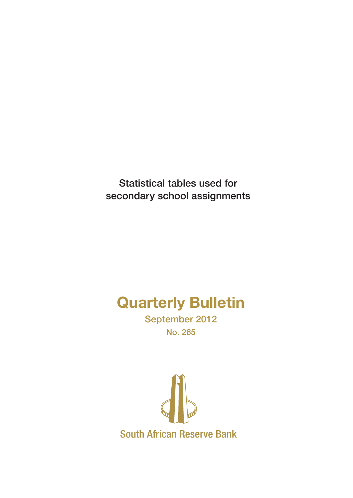Statistical tables used for secondary school assignments

# Quarterly Bulletin

September 2012 No. 265

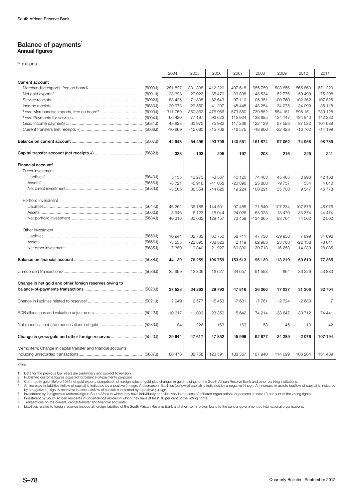#### Balance of payments<sup>1</sup> Annual figures

R millions

|                                                              | 2004      | 2005     | 2006     | 2007      | 2008      | 2009     | 2010      | 2011           |
|--------------------------------------------------------------|-----------|----------|----------|-----------|-----------|----------|-----------|----------------|
| <b>Current account</b>                                       |           |          |          |           |           |          |           |                |
|                                                              | 281 827   | 331 338  | 412 220  | 497 618   | 655 759   | 503 656  | 565 860   | 671 220        |
|                                                              | 28 698    | 27 0 23  | 35 470   | 39898     | 48 534    | 52 776   | 59 499    | 75 298         |
|                                                              | 63 4 25   | 71808    | 82 643   | 97 110    | 105 351   | 100 760  | 102 362   | 107 825        |
|                                                              | 20 973    | 29 550   | 41 207   | 48 448    | 48 254    | 34 075   | 34 099    | 38 118         |
|                                                              | 311 759   | 360 362  | 476 966  | 573 850   | 739 852   | 554 161  | 598 151   | 730 128        |
|                                                              | 66 420    | 77 197   | 96 623   | 115 934   | 138 885   | 124 147  | 134 843   | 142 230        |
|                                                              | 48 823    | 60 975   | 75 982   | 117 266   | 122 129   | 87 593   | 87 022    | 104 689        |
|                                                              | $-10.869$ | $-15680$ | $-15768$ | $-16575$  | $-18906$  | $-22428$ | $-16762$  | $-14199$       |
|                                                              | $-42948$  | -54 495  | -93 799  | $-140551$ | $-161874$ | $-97062$ | $-74958$  | -98 785        |
|                                                              | 338       | 193      | 205      | 197       | 208       | 216      | 225       | 241            |
| Financial account <sup>4</sup>                               |           |          |          |           |           |          |           |                |
| Direct investment                                            |           |          |          |           |           |          |           |                |
|                                                              | 5 1 5 5   | 42 270   | $-3567$  | 40 120    | 74 403    | 45 4 65  | 8993      | 42 168         |
|                                                              | $-8721$   | $-5916$  | $-41058$ | $-20896$  | 25 888    | $-9757$  | 554       | 4610           |
|                                                              | $-3566$   | 36 354   | $-44625$ | 19 2 24   | 100 291   | 35 708   | 9547      | 46778          |
| Portfolio investment                                         |           |          |          |           |           |          |           |                |
|                                                              | 46 262    | 36 188   | 144 501  | 97 485    | $-71540$  | 107 234  | 107 876   | 46 976         |
|                                                              | $-5946$   | $-6123$  | $-15044$ | $-24026$  | $-633325$ | $-13470$ | $-333374$ | $-44474$       |
|                                                              | 40 316    | 30 065   | 129 457  | 73 459    | -134 865  | 93 764   | 74 502    | 2 5 0 2        |
| Other investment                                             |           |          |          |           |           |          |           |                |
|                                                              | 10 944    | 32735    | 60 750   | 58 711    | 47 730    | $-39996$ | 7899      | 31 696         |
|                                                              | $-3555$   | $-22895$ | $-38823$ | 2 1 1 9   | 82 983    | 23 703   | $-22138$  | $-3611$        |
|                                                              | 7 3 8 9   | 9840     | 21 927   | 60 830    | 130 713   | $-16253$ | $-14239$  | 28 0 85        |
|                                                              | 44 139    | 76 259   | 106 759  | 153 513   | 96 139    | 113 219  | 69810     | 77 365         |
|                                                              | 35 999    | 12 30 6  | 16 627   | 34 657    | 91 593    | 664      | 36 229    | 53 883         |
| Change in net gold and other foreign reserves owing to       |           |          |          |           |           |          |           |                |
|                                                              | 37 528    | 34 263   | 29 7 9 2 | 47816     | 26 066    | 17 037   | 31 306    | 32 704         |
|                                                              | 2949      | 2577     | $-5453$  | $-7631$   | $-7761$   | $-2724$  | $-2683$   | $\overline{7}$ |
|                                                              | $-10617$  | 11 003   | 23 350   | 5 6 4 2   | 74 214    | $-38647$ | $-30712$  | 74 441         |
|                                                              | 84        | $-226$   | 163      | 169       | 158       | 45       | 13        | 42             |
|                                                              | 29 944    | 47 617   | 47852    | 45 996    | 92 677    | $-24289$ | $-2076$   | 107 194        |
| Memo item: Change in capital transfer and financial accounts | 80 476    | 88758    | 123 591  | 188 367   | 187 940   | 114 099  | 106 264   | 131 489        |

KB501

1. Data for the previous four years are preliminary and subject to revision.<br>2. Published customs figures adjusted for balance-of-payments purposes.<br>3. Commodity gold. Before 1981 net gold exports comprised net foreign sal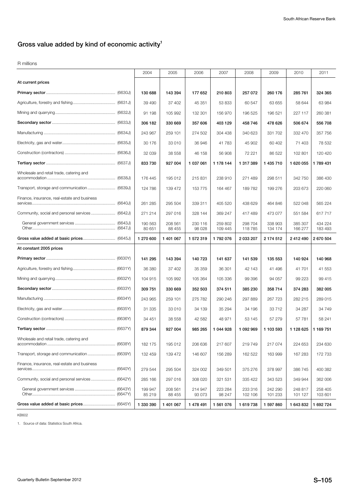# **Gross value added by kind of economic activity1**

R millions

|                                                 | 2004              | 2005              | 2006               | 2007               | 2008               | 2009               | 2010               | 2011               |
|-------------------------------------------------|-------------------|-------------------|--------------------|--------------------|--------------------|--------------------|--------------------|--------------------|
| At current prices                               |                   |                   |                    |                    |                    |                    |                    |                    |
|                                                 | 130 688           | 143 394           | 177 652            | 210 803            | 257 072            | 260 176            | 285 761            | 324 365            |
|                                                 | 39 490            | 37 402            | 45 351             | 53 833             | 60 547             | 63 655             | 58 644             | 63 984             |
|                                                 | 91 198            | 105 992           | 132 301            | 156 970            | 196 525            | 196 521            | 227 117            | 260 381            |
|                                                 | 306 182           | 330 669           | 357 606            | 403 129            | 458746             | 478 626            | 506 674            | 556708             |
|                                                 | 243 967           | 259 101           | 274 502            | 304 438            | 340 623            | 331 702            | 332 470            | 357 756            |
|                                                 | 30 176            | 33 010            | 36 946             | 41 783             | 45 902             | 60 402             | 71 403             | 78 532             |
|                                                 | 32 039            | 38 558            | 46 158             | 56 908             | 72 221             | 86 522             | 102 801            | 120 420            |
|                                                 | 833 730           | 927 004           | 1 037 061          | 1 178 144          | 1 317 389          | 1 435 710          | 1 620 055          | 1789431            |
| Wholesale and retail trade, catering and        | 176 445           | 195 012           | 215 831            | 238 910            | 271 489            | 298 511            | 342 750            | 386 430            |
|                                                 | 124 786           | 139 472           | 153 775            | 164 467            | 189782             | 199 276            | 203 673            | 220 060            |
| Finance, insurance, real-estate and business    | 261 285           | 295 504           | 339 311            | 405 520            | 438 629            | 464 846            | 522 048            | 565 224            |
|                                                 | 271 214           | 297 016           | 328 144            | 369 247            | 417489             | 473 077            | 551 584            | 617717             |
|                                                 | 190 563<br>80 651 | 208 561<br>88 455 | 230 116<br>98 0 28 | 259 802<br>109 445 | 298 704<br>118785  | 338 903<br>134 174 | 385 307<br>166 277 | 434 224<br>183 493 |
|                                                 | 1 270 600         | 1 401 067         | 1572319            | 1792076            | 2 033 207          | 2 174 512          | 2412490            | 2670504            |
| At constant 2005 prices                         |                   |                   |                    |                    |                    |                    |                    |                    |
|                                                 | 141 295           | 143 394           | 140723             | 141 637            | 141 539            | 135 553            | 140 924            | 140 968            |
|                                                 | 36 380            | 37 402            | 35 35 9            | 36 301             | 42 143             | 41496              | 41 701             | 41 553             |
|                                                 | 104 915           | 105 992           | 105 364            | 105 336            | 99 396             | 94 057             | 99 223             | 99 415             |
|                                                 | 309 751           | 330 669           | 352 503            | 374 511            | 385 230            | 358 714            | 374 283            | 382 005            |
|                                                 | 243 965           | 259 101           | 275 782            | 290 246            | 297 889            | 267 723            | 282 215            | 289 015            |
|                                                 | 31 335            | 33 010            | 34 139             | 35 294             | 34 196             | 33 712             | 34 287             | 34749              |
|                                                 | 34 451            | 38 558            | 42 582             | 48 971             | 53 145             | 57 279             | 57 781             | 58 241             |
|                                                 | 879 344           | 927 004           | 985 265            | 1 044 928          | 1 092 969          | 1 103 593          | 1 128 625          | 1 169 751          |
| Wholesale and retail trade, catering and        | 182 175           | 195 012           | 206 636            | 217 607            | 219749             | 217 074            | 224 653            | 234 630            |
|                                                 | 132 459           | 139 472           | 146 607            | 156 289            | 162 522            | 163 999            | 167 283            | 172 733            |
| Finance, insurance, real-estate and business    | 279 544           | 295 504           | 324 002            | 349 501            | 375 276            | 378 997            | 386 745            | 400 382            |
| Community, social and personal services (6642Y) | 285 166           | 297 016           | 308 020            | 321 531            | 335 422            | 343 523            | 349 944            | 362 006            |
|                                                 | 199 947<br>85 219 | 208 561<br>88 455 | 214 947<br>93 0 73 | 223 284<br>98 247  | 233 316<br>102 106 | 242 290<br>101 233 | 248 817<br>101 127 | 258 405<br>103 601 |
|                                                 | 1 330 390         | 1 401 067         | 1 478 491          | 1 561 076          | 1619738            | 1 597 860          | 1 643 832          | 1 692 724          |

KB602

1. Source of data: Statistics South Africa.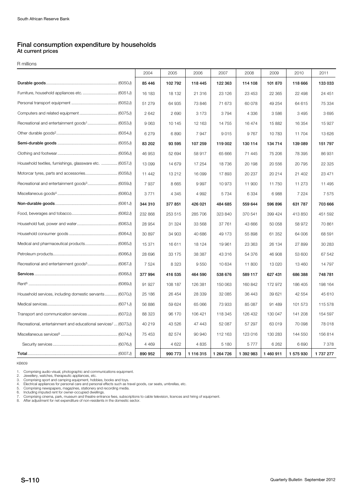## **Final consumption expenditure by households At current prices**

R millions

|                                                                           | 2004    | 2005    | 2006      | 2007       | 2008      | 2009      | 2010      | 2011    |
|---------------------------------------------------------------------------|---------|---------|-----------|------------|-----------|-----------|-----------|---------|
|                                                                           | 85 446  | 102 792 | 118 445   | 122 363    | 114 108   | 101 870   | 118 666   | 133033  |
|                                                                           | 16 183  | 18 132  | 21 316    | 23 1 26    | 23 453    | 22 3 65   | 22 498    | 24 451  |
|                                                                           | 51 279  | 64 935  | 73 846    | 71 673     | 60 078    | 49 254    | 64 615    | 75 334  |
|                                                                           | 2642    | 2690    | 3 1 7 3   | 3794       | 4 3 3 6   | 3586      | 3495      | 3695    |
|                                                                           | 9 0 63  | 10 145  | 12 163    | 14 755     | 16 474    | 15 882    | 16 354    | 15927   |
|                                                                           | 6 2 7 9 | 6890    | 7947      | 9015       | 9767      | 10783     | 11 704    | 13626   |
|                                                                           | 83 202  | 93 595  | 107 259   | 119 002    | 130 114   | 134 714   | 139 089   | 151 797 |
|                                                                           | 46 953  | 52 694  | 58 917    | 65 666     | 71 445    | 75 206    | 78 395    | 86 931  |
| Household textiles, furnishings, glassware etc.  (6057J)                  | 13 099  | 14 679  | 17 254    | 18736      | 20 198    | 20 556    | 20 795    | 22 3 25 |
|                                                                           | 11 442  | 13 212  | 16 099    | 17893      | 20 237    | 20 214    | 21 402    | 23 471  |
| Recreational and entertainment goods <sup>3</sup> (6059J)                 | 7937    | 8 6 6 5 | 9997      | 10973      | 11 900    | 11 750    | 11 273    | 11 495  |
|                                                                           | 3771    | 4 3 4 5 | 4 9 9 2   | 5734       | 6 3 3 4   | 6988      | 7 2 2 4   | 7575    |
|                                                                           | 344 310 | 377 851 | 426 021   | 484 685    | 559 644   | 596 896   | 631 787   | 703 666 |
|                                                                           | 232 868 | 253 515 | 285 706   | 323 840    | 370 541   | 399 424   | 413 850   | 451 592 |
|                                                                           | 28 954  | 31 324  | 33 568    | 37 761     | 43 666    | 50 058    | 58 972    | 70 861  |
|                                                                           | 30 897  | 34 903  | 40 686    | 49 173     | 55 898    | 61 352    | 64 006    | 68 591  |
|                                                                           | 15 371  | 16611   | 18 124    | 19 961     | 23 363    | 26 134    | 27 899    | 30 283  |
|                                                                           | 28 696  | 33 175  | 38 387    | 43 316     | 54 376    | 46 908    | 53 600    | 67 542  |
|                                                                           | 7 5 2 4 | 8 3 2 3 | 9550      | 10 634     | 11 800    | 13 0 20   | 13 460    | 14797   |
|                                                                           | 377 994 | 416 535 | 464 590   | 538 676    | 589 117   | 627 431   | 686 388   | 748 781 |
|                                                                           | 91 927  | 108 187 | 126 381   | 150 063    | 160 842   | 172 972   | 186 405   | 198 164 |
| Household services, including domestic servants (6070J)                   | 25 186  | 26 454  | 28 339    | 32 085     | 36 443    | 39 621    | 42 554    | 45 610  |
|                                                                           | 56 886  | 59 624  | 65 066    | 73933      | 85 087    | 91 489    | 101 573   | 115 578 |
|                                                                           | 88 323  | 96 170  | 106 421   | 118 345    | 126 432   | 130 047   | 141 208   | 154 597 |
| Recreational, entertainment and educational services <sup>7</sup> (6073J) | 40 219  | 43 526  | 47 443    | 52 087     | 57 297    | 63 019    | 70 098    | 78 018  |
|                                                                           | 75 453  | 82 574  | 90 940    | 112 163    | 123 016   | 130 283   | 144 550   | 156814  |
|                                                                           | 4 4 6 9 | 4 6 22  | 4 8 3 5   | 5 1 8 0    | 5777      | 6 2 6 2   | 6690      | 7 3 7 8 |
|                                                                           | 890 952 | 990 773 | 1 116 315 | 1 264 7 26 | 1 392 983 | 1 460 911 | 1 575 930 | 1737277 |

KB609

1. Comprising audio-visual, photographic and communications equipment.<br>2. Jewellery, watches, therapeutic appliances, etc.<br>3. Comprising sport and camping equipment, hobbies, books and toys.<br>4. Electrical appliances for pe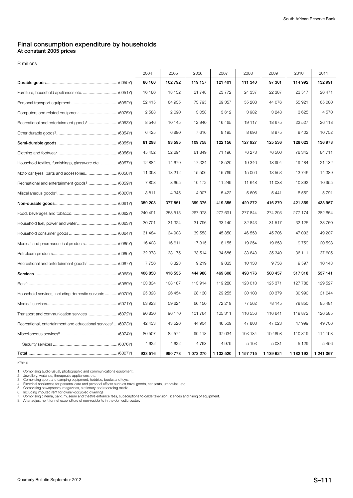### **Final consumption expenditure by households At constant 2005 prices**

R millions

|                                                                           | 2004    | 2005    | 2006      | 2007      | 2008          | 2009      | 2010      | 2011      |
|---------------------------------------------------------------------------|---------|---------|-----------|-----------|---------------|-----------|-----------|-----------|
|                                                                           | 86 160  | 102 792 | 119 157   | 121 401   | 111 340       | 97 361    | 114 992   | 132 991   |
| Furniture, household appliances etc.  (6051Y)                             | 16 186  | 18 132  | 21 748    | 23 772    | 24 337        | 22 387    | 23 517    | 26 471    |
|                                                                           | 52 415  | 64 935  | 73 795    | 69 357    | 55 208        | 44 0 76   | 55 921    | 65 080    |
|                                                                           | 2 5 8 8 | 2690    | 3 0 5 8   | 3612      | 3982          | 3 2 4 8   | 3625      | 4570      |
|                                                                           | 8546    | 10 145  | 12 940    | 16 4 65   | 19 117        | 18 675    | 22 5 27   | 26 118    |
|                                                                           | 6425    | 6890    | 7616      | 8 1 9 5   | 8696          | 8975      | 9 4 0 2   | 10752     |
|                                                                           | 81 298  | 93 595  | 109 758   | 122 156   | 127 927       | 125 536   | 128 023   | 136 978   |
|                                                                           | 45 402  | 52 694  | 61849     | 71 196    | 76 273        | 76 500    | 78 342    | 84 711    |
| Household textiles, furnishings, glassware etc.  (6057Y)                  | 12 8 84 | 14 679  | 17 324    | 18 5 20   | 19 340        | 18 994    | 19 4 84   | 21 132    |
| Motorcar tyres, parts and accessories (6058Y)                             | 11 398  | 13 212  | 15 506    | 15 769    | 15 060        | 13 5 63   | 13746     | 14 389    |
| Recreational and entertainment goods <sup>3</sup> (6059Y)                 | 7803    | 8 6 6 5 | 10 172    | 11 249    | 11 648        | 11 038    | 10892     | 10 955    |
|                                                                           | 3811    | 4 3 4 5 | 4 9 0 7   | 5 4 2 2   | 5 6 0 6       | 5 4 4 1   | 5 5 5 9   | 5791      |
|                                                                           | 359 208 | 377851  | 399 375   | 419 355   | 420 272       | 416 270   | 421 859   | 433 957   |
|                                                                           | 240 491 | 253 515 | 267 978   | 277 691   | 277844        | 274 293   | 277 174   | 282 654   |
|                                                                           | 30 701  | 31 324  | 31 796    | 33 140    | 32 843        | 31 517    | 32 125    | 33 750    |
|                                                                           | 31 484  | 34 903  | 39 553    | 45 850    | 46 558        | 45 706    | 47 093    | 49 207    |
|                                                                           | 16 403  | 16611   | 17 315    | 18 155    | 19 254        | 19658     | 19759     | 20 598    |
|                                                                           | 32 373  | 33 175  | 33 514    | 34 686    | 33 643        | 35 340    | 36 111    | 37 605    |
| Recreational and entertainment goods <sup>5</sup> (6067Y)                 | 7756    | 8 3 2 3 | 9219      | 9833      | 10 130        | 9756      | 9597      | 10 143    |
|                                                                           | 406 850 | 416 535 | 444 980   | 469 608   | 498 176       | 500 457   | 517318    | 537 141   |
|                                                                           | 103 834 | 108 187 | 113 914   | 119 280   | 123 013       | 125 371   | 127 788   | 129 527   |
| Household services, including domestic servants (6070Y)                   | 25 323  | 26 454  | 28 130    | 29 255    | 30 108        | 30 379    | 30 990    | 31 644    |
|                                                                           | 63 923  | 59 624  | 66 150    | 72 219    | 77 562        | 78 145    | 79 850    | 85 481    |
| Transport and communication services (6072Y)                              | 90 830  | 96 170  | 101 764   | 105 311   | 116 556       | 116 641   | 119872    | 126 585   |
| Recreational, entertainment and educational services <sup>7</sup> (6073Y) | 42 433  | 43 526  | 44 904    | 46 509    | 47 803        | 47 023    | 47 999    | 49 706    |
|                                                                           | 80 507  | 82 574  | 90 118    | 97 034    | 103 134       | 102 898   | 110819    | 114 198   |
|                                                                           | 4 6 22  | 4 6 22  | 4763      | 4979      | 5 1 0 3       | 5 0 31    | 5 1 2 9   | 5 4 5 6   |
|                                                                           | 933 516 | 990 773 | 1 073 270 | 1 132 520 | 1 1 5 7 7 1 5 | 1 139 624 | 1 182 192 | 1 241 067 |

KB610

1. Comprising audio-visual, photographic and communications equipment.<br>2. Jewellery, watches, therapeutic appliances, etc.<br>3. Comprising sport and camping equipment, hobbies, books and toys.<br>4. Electrical appliances for pe

7. Comprising cinema, park, museum and theatre entrance fees, subscriptions to cable television, licences and hiring of equipment. 8. After adjustment for net expenditure of non-residents in the domestic sector.